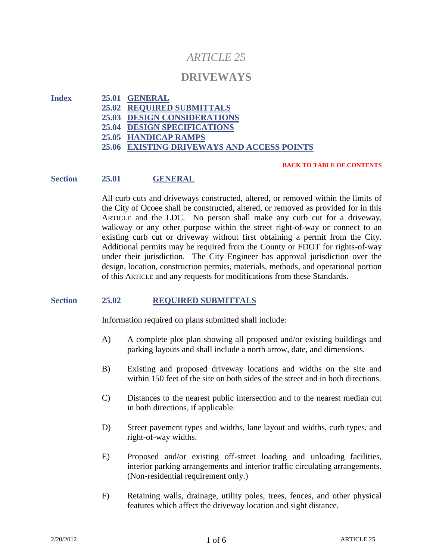# *ARTICLE 25*

## **DRIVEWAYS**

**Index 25.01 GENERAL 25.02 REQUIRED SUBMITTALS 25.03 DESIGN CONSIDERATIONS 25.04 DESIGN SPECIFICATIONS 25.05 HANDICAP RAMPS 25.06 EXISTING DRIVEWAYS AND ACCESS POINTS**

#### **BACK TO TABLE OF CONTENTS**

#### **Section 25.01 GENERAL**

All curb cuts and driveways constructed, altered, or removed within the limits of the City of Ocoee shall be constructed, altered, or removed as provided for in this ARTICLE and the LDC. No person shall make any curb cut for a driveway, walkway or any other purpose within the street right-of-way or connect to an existing curb cut or driveway without first obtaining a permit from the City. Additional permits may be required from the County or FDOT for rights-of-way under their jurisdiction. The City Engineer has approval jurisdiction over the design, location, construction permits, materials, methods, and operational portion of this ARTICLE and any requests for modifications from these Standards.

#### **Section 25.02 REQUIRED SUBMITTALS**

Information required on plans submitted shall include:

- A) A complete plot plan showing all proposed and/or existing buildings and parking layouts and shall include a north arrow, date, and dimensions.
- B) Existing and proposed driveway locations and widths on the site and within 150 feet of the site on both sides of the street and in both directions.
- C) Distances to the nearest public intersection and to the nearest median cut in both directions, if applicable.
- D) Street pavement types and widths, lane layout and widths, curb types, and right-of-way widths.
- E) Proposed and/or existing off-street loading and unloading facilities, interior parking arrangements and interior traffic circulating arrangements. (Non-residential requirement only.)
- F) Retaining walls, drainage, utility poles, trees, fences, and other physical features which affect the driveway location and sight distance.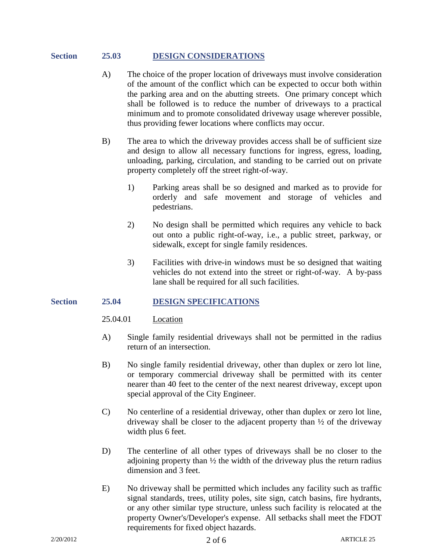#### **Section 25.03 DESIGN CONSIDERATIONS**

- A) The choice of the proper location of driveways must involve consideration of the amount of the conflict which can be expected to occur both within the parking area and on the abutting streets. One primary concept which shall be followed is to reduce the number of driveways to a practical minimum and to promote consolidated driveway usage wherever possible, thus providing fewer locations where conflicts may occur.
- B) The area to which the driveway provides access shall be of sufficient size and design to allow all necessary functions for ingress, egress, loading, unloading, parking, circulation, and standing to be carried out on private property completely off the street right-of-way.
	- 1) Parking areas shall be so designed and marked as to provide for orderly and safe movement and storage of vehicles and pedestrians.
	- 2) No design shall be permitted which requires any vehicle to back out onto a public right-of-way, i.e., a public street, parkway, or sidewalk, except for single family residences.
	- 3) Facilities with drive-in windows must be so designed that waiting vehicles do not extend into the street or right-of-way. A by-pass lane shall be required for all such facilities.

#### **Section 25.04 DESIGN SPECIFICATIONS**

- 25.04.01 Location
- A) Single family residential driveways shall not be permitted in the radius return of an intersection.
- B) No single family residential driveway, other than duplex or zero lot line, or temporary commercial driveway shall be permitted with its center nearer than 40 feet to the center of the next nearest driveway, except upon special approval of the City Engineer.
- C) No centerline of a residential driveway, other than duplex or zero lot line, driveway shall be closer to the adjacent property than ½ of the driveway width plus 6 feet.
- D) The centerline of all other types of driveways shall be no closer to the adjoining property than  $\frac{1}{2}$  the width of the driveway plus the return radius dimension and 3 feet.
- E) No driveway shall be permitted which includes any facility such as traffic signal standards, trees, utility poles, site sign, catch basins, fire hydrants, or any other similar type structure, unless such facility is relocated at the property Owner's/Developer's expense. All setbacks shall meet the FDOT requirements for fixed object hazards.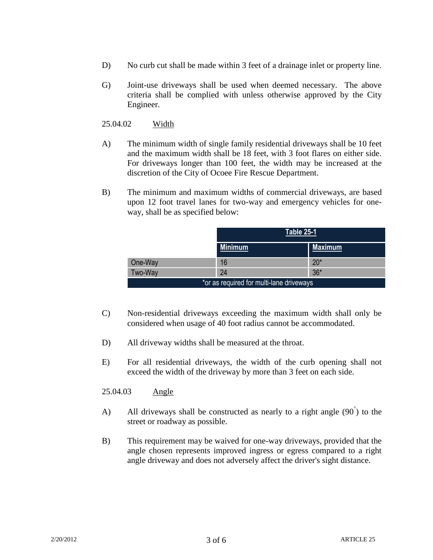- D) No curb cut shall be made within 3 feet of a drainage inlet or property line.
- G) Joint-use driveways shall be used when deemed necessary. The above criteria shall be complied with unless otherwise approved by the City Engineer.

25.04.02 Width

- A) The minimum width of single family residential driveways shall be 10 feet and the maximum width shall be 18 feet, with 3 foot flares on either side. For driveways longer than 100 feet, the width may be increased at the discretion of the City of Ocoee Fire Rescue Department.
- B) The minimum and maximum widths of commercial driveways, are based upon 12 foot travel lanes for two-way and emergency vehicles for oneway, shall be as specified below:

|                                          | <b>Table 25-1</b> |                |
|------------------------------------------|-------------------|----------------|
|                                          | <b>Minimum</b>    | <b>Maximum</b> |
| One-Way                                  | 16                | $20*$          |
| Two-Way                                  | 24                | $36*$          |
| *or as required for multi-lane driveways |                   |                |

- C) Non-residential driveways exceeding the maximum width shall only be considered when usage of 40 foot radius cannot be accommodated.
- D) All driveway widths shall be measured at the throat.
- E) For all residential driveways, the width of the curb opening shall not exceed the width of the driveway by more than 3 feet on each side.
- 25.04.03 Angle
- A) All driveways shall be constructed as nearly to a right angle  $(90\degree)$  to the street or roadway as possible.
- B) This requirement may be waived for one-way driveways, provided that the angle chosen represents improved ingress or egress compared to a right angle driveway and does not adversely affect the driver's sight distance.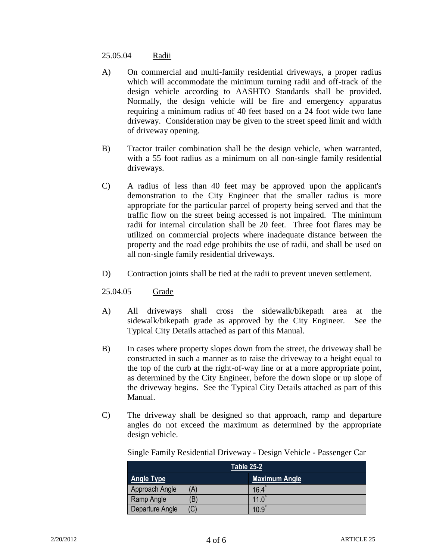#### 25.05.04 Radii

- A) On commercial and multi-family residential driveways, a proper radius which will accommodate the minimum turning radii and off-track of the design vehicle according to AASHTO Standards shall be provided. Normally, the design vehicle will be fire and emergency apparatus requiring a minimum radius of 40 feet based on a 24 foot wide two lane driveway. Consideration may be given to the street speed limit and width of driveway opening.
- B) Tractor trailer combination shall be the design vehicle, when warranted, with a 55 foot radius as a minimum on all non-single family residential driveways.
- C) A radius of less than 40 feet may be approved upon the applicant's demonstration to the City Engineer that the smaller radius is more appropriate for the particular parcel of property being served and that the traffic flow on the street being accessed is not impaired. The minimum radii for internal circulation shall be 20 feet. Three foot flares may be utilized on commercial projects where inadequate distance between the property and the road edge prohibits the use of radii, and shall be used on all non-single family residential driveways.
- D) Contraction joints shall be tied at the radii to prevent uneven settlement.
- 25.04.05 Grade
- A) All driveways shall cross the sidewalk/bikepath area at the sidewalk/bikepath grade as approved by the City Engineer. See the Typical City Details attached as part of this Manual.
- B) In cases where property slopes down from the street, the driveway shall be constructed in such a manner as to raise the driveway to a height equal to the top of the curb at the right-of-way line or at a more appropriate point, as determined by the City Engineer, before the down slope or up slope of the driveway begins. See the Typical City Details attached as part of this Manual.
- C) The driveway shall be designed so that approach, ramp and departure angles do not exceed the maximum as determined by the appropriate design vehicle.

| Table 25-2             |                |  |
|------------------------|----------------|--|
| <b>Angle Type</b>      | Maximum Angle  |  |
| Approach Angle<br>'A   | $16.4^{\circ}$ |  |
| Ramp Angle<br>B        | 11.0           |  |
| (C)<br>Departure Angle | 10.9           |  |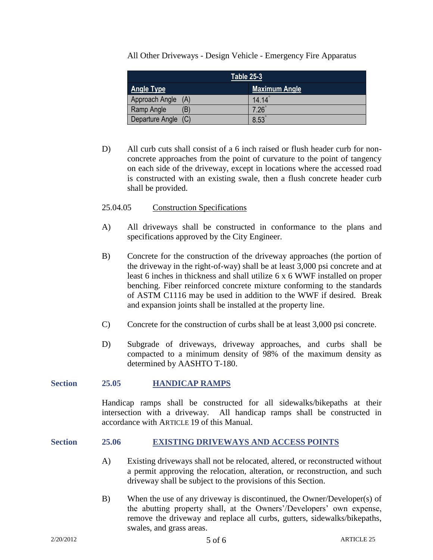All Other Driveways - Design Vehicle - Emergency Fire Apparatus

| Table 25-3            |                      |  |  |
|-----------------------|----------------------|--|--|
| <b>Angle Type</b>     | <b>Maximum Angle</b> |  |  |
| Approach Angle<br>(A) | $14.14^{\circ}$      |  |  |
| Έ<br>Ramp Angle       | $.26^\circ$          |  |  |
| Departure Angle (C)   | 8.53                 |  |  |

D) All curb cuts shall consist of a 6 inch raised or flush header curb for nonconcrete approaches from the point of curvature to the point of tangency on each side of the driveway, except in locations where the accessed road is constructed with an existing swale, then a flush concrete header curb shall be provided.

### 25.04.05 Construction Specifications

- A) All driveways shall be constructed in conformance to the plans and specifications approved by the City Engineer.
- B) Concrete for the construction of the driveway approaches (the portion of the driveway in the right-of-way) shall be at least 3,000 psi concrete and at least 6 inches in thickness and shall utilize 6 x 6 WWF installed on proper benching. Fiber reinforced concrete mixture conforming to the standards of ASTM C1116 may be used in addition to the WWF if desired. Break and expansion joints shall be installed at the property line.
- C) Concrete for the construction of curbs shall be at least 3,000 psi concrete.
- D) Subgrade of driveways, driveway approaches, and curbs shall be compacted to a minimum density of 98% of the maximum density as determined by AASHTO T-180.

#### **Section 25.05 HANDICAP RAMPS**

Handicap ramps shall be constructed for all sidewalks/bikepaths at their intersection with a driveway. All handicap ramps shall be constructed in accordance with ARTICLE 19 of this Manual.

#### **Section 25.06 EXISTING DRIVEWAYS AND ACCESS POINTS**

- A) Existing driveways shall not be relocated, altered, or reconstructed without a permit approving the relocation, alteration, or reconstruction, and such driveway shall be subject to the provisions of this Section.
- B) When the use of any driveway is discontinued, the Owner/Developer(s) of the abutting property shall, at the Owners'/Developers' own expense, remove the driveway and replace all curbs, gutters, sidewalks/bikepaths, swales, and grass areas.